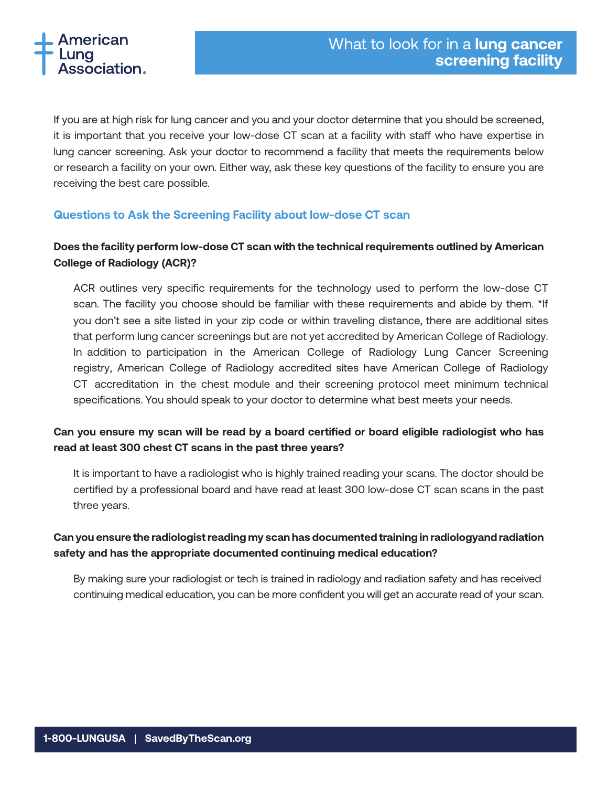

If you are at high risk for lung cancer and you and your doctor determine that you should be screened, it is important that you receive your low-dose CT scan at a facility with staff who have expertise in lung cancer screening. Ask your doctor to recommend a facility that meets the requirements below or research a facility on your own. Either way, ask these key questions of the facility to ensure you are receiving the best care possible.

#### **Questions to Ask the Screening Facility about low-dose CT scan**

## **Does the facility perform low-dose CT scan with the technical requirements outlined by American College of Radiology (ACR)?**

ACR outlines very specific requirements for the technology used to perform the low-dose CT scan. The facility you choose should be familiar with these requirements and abide by them. \*If you don't see a site listed in your zip code or within traveling distance, there are additional sites that perform lung cancer screenings but are not yet accredited by American College of Radiology. In addition to participation in the American College of Radiology Lung Cancer Screening registry, American College of Radiology accredited sites have American College of Radiology CT accreditation in the chest module and their screening protocol meet minimum technical specifications. You should speak to your doctor to determine what best meets your needs.

## **Can you ensure my scan will be read by a board certified or board eligible radiologist who has read at least 300 chest CT scans in the past three years?**

It is important to have a radiologist who is highly trained reading your scans. The doctor should be certified by a professional board and have read at least 300 low-dose CT scan scans in the past three years.

### **Can you ensure the radiologist reading my scan has documented training in radiologyand radiation safety and has the appropriate documented continuing medical education?**

By making sure your radiologist or tech is trained in radiology and radiation safety and has received continuing medical education, you can be more confident you will get an accurate read of your scan.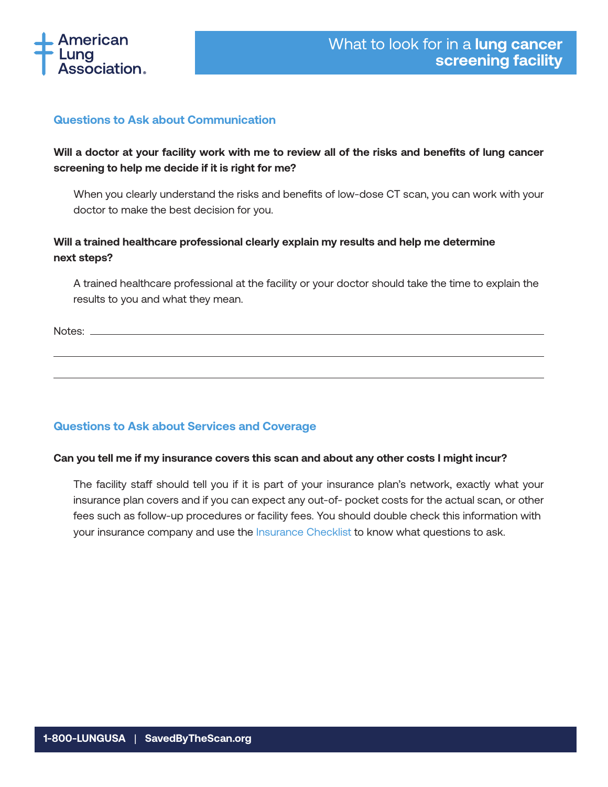

### **Questions to Ask about Communication**

# **Will a doctor at your facility work with me to review all of the risks and benefits of lung cancer screening to help me decide if it is right for me?**

When you clearly understand the risks and benefits of low-dose CT scan, you can work with your doctor to make the best decision for you.

## **Will a trained healthcare professional clearly explain my results and help me determine next steps?**

A trained healthcare professional at the facility or your doctor should take the time to explain the results to you and what they mean.

Notes:  $\overline{\phantom{0}}$ 

## **Questions to Ask about Services and Coverage**

#### **Can you tell me if my insurance covers this scan and about any other costs I might incur?**

The facility staff should tell you if it is part of your insurance plan's network, exactly what your insurance plan covers and if you can expect any out-of- pocket costs for the actual scan, or other fees such as follow-up procedures or facility fees. You should double check this information with your insurance company and use the [Insurance Checklist](http://www.lung.org/lung-health-and-diseases/lung-disease-lookup/lung-cancer/diagnosing-and-treating/insurance-checklist.html) to know what questions to ask.